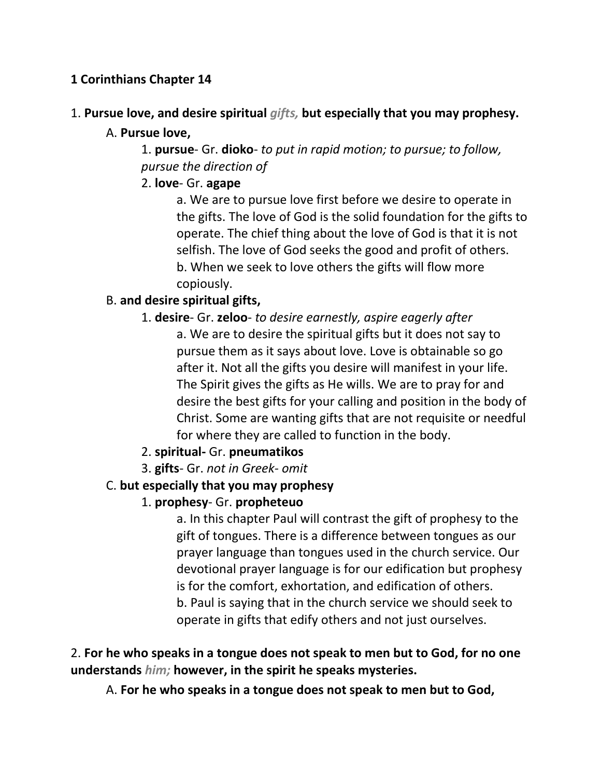## **1 Corinthians Chapter 14**

1. **Pursue love, and desire spiritual** *gifts,* **but especially that you may prophesy.** 

## A. **Pursue love,**

1. **pursue**- Gr. **dioko**- *to put in rapid motion; to pursue; to follow, pursue the direction of*

## 2. **love**- Gr. **agape**

a. We are to pursue love first before we desire to operate in the gifts. The love of God is the solid foundation for the gifts to operate. The chief thing about the love of God is that it is not selfish. The love of God seeks the good and profit of others. b. When we seek to love others the gifts will flow more copiously.

## B. **and desire spiritual gifts,**

1. **desire**- Gr. **zeloo**- *to desire earnestly, aspire eagerly after*

a. We are to desire the spiritual gifts but it does not say to pursue them as it says about love. Love is obtainable so go after it. Not all the gifts you desire will manifest in your life. The Spirit gives the gifts as He wills. We are to pray for and desire the best gifts for your calling and position in the body of Christ. Some are wanting gifts that are not requisite or needful for where they are called to function in the body.

- 2. **spiritual-** Gr. **pneumatikos**
- 3. **gifts** Gr. *not in Greek- omit*

## C. **but especially that you may prophesy**

# 1. **prophesy**- Gr. **propheteuo**

a. In this chapter Paul will contrast the gift of prophesy to the gift of tongues. There is a difference between tongues as our prayer language than tongues used in the church service. Our devotional prayer language is for our edification but prophesy is for the comfort, exhortation, and edification of others. b. Paul is saying that in the church service we should seek to operate in gifts that edify others and not just ourselves.

2. **For he who speaks in a tongue does not speak to men but to God, for no one understands** *him;* **however, in the spirit he speaks mysteries.** 

A. **For he who speaks in a tongue does not speak to men but to God,**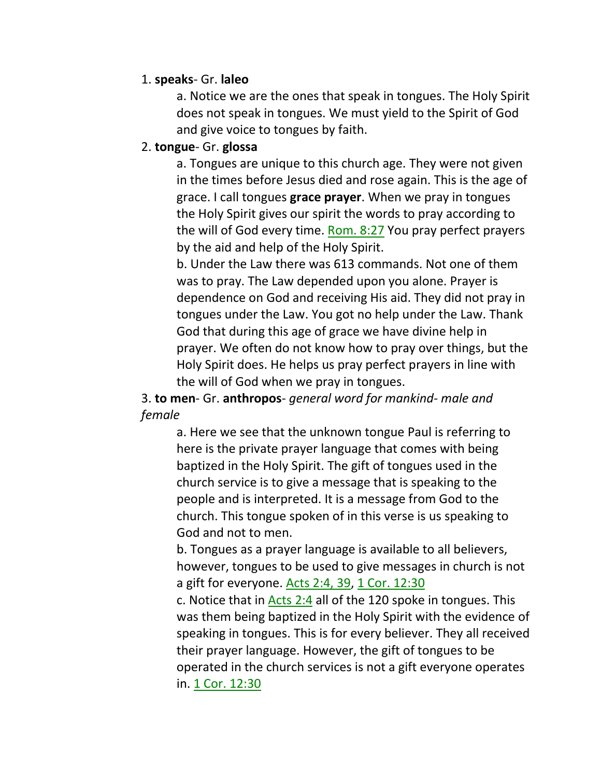#### 1. **speaks**- Gr. **laleo**

a. Notice we are the ones that speak in tongues. The Holy Spirit does not speak in tongues. We must yield to the Spirit of God and give voice to tongues by faith.

#### 2. **tongue**- Gr. **glossa**

a. Tongues are unique to this church age. They were not given in the times before Jesus died and rose again. This is the age of grace. I call tongues **grace prayer**. When we pray in tongues the Holy Spirit gives our spirit the words to pray according to the will of God every time. Rom. 8:27 You pray perfect prayers by the aid and help of the Holy Spirit.

b. Under the Law there was 613 commands. Not one of them was to pray. The Law depended upon you alone. Prayer is dependence on God and receiving His aid. They did not pray in tongues under the Law. You got no help under the Law. Thank God that during this age of grace we have divine help in prayer. We often do not know how to pray over things, but the Holy Spirit does. He helps us pray perfect prayers in line with the will of God when we pray in tongues.

3. **to men**- Gr. **anthropos**- *general word for mankind- male and female*

> a. Here we see that the unknown tongue Paul is referring to here is the private prayer language that comes with being baptized in the Holy Spirit. The gift of tongues used in the church service is to give a message that is speaking to the people and is interpreted. It is a message from God to the church. This tongue spoken of in this verse is us speaking to God and not to men.

b. Tongues as a prayer language is available to all believers, however, tongues to be used to give messages in church is not a gift for everyone. Acts 2:4, 39, 1 Cor. 12:30

c. Notice that in Acts 2:4 all of the 120 spoke in tongues. This was them being baptized in the Holy Spirit with the evidence of speaking in tongues. This is for every believer. They all received their prayer language. However, the gift of tongues to be operated in the church services is not a gift everyone operates in. 1 Cor. 12:30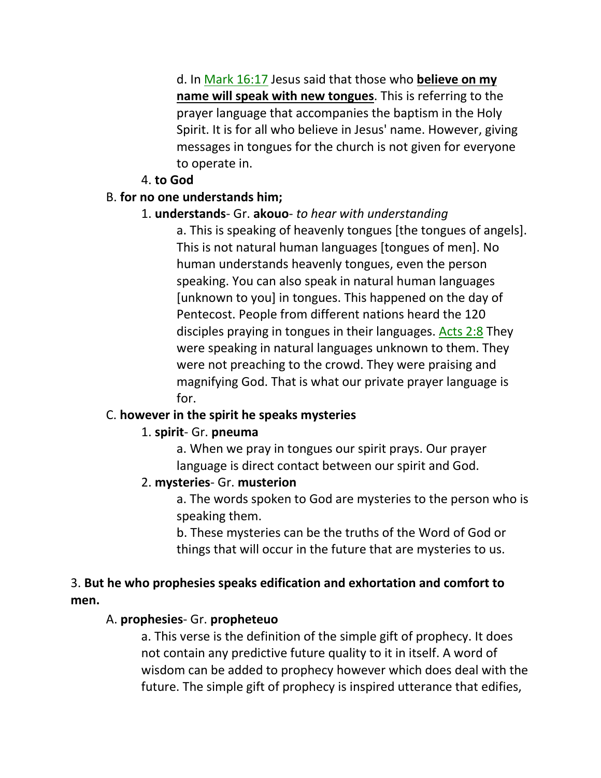d. In Mark 16:17 Jesus said that those who **believe on my name will speak with new tongues**. This is referring to the prayer language that accompanies the baptism in the Holy Spirit. It is for all who believe in Jesus' name. However, giving messages in tongues for the church is not given for everyone to operate in.

### 4. **to God**

### B. **for no one understands him;**

## 1. **understands**- Gr. **akouo**- *to hear with understanding*

a. This is speaking of heavenly tongues [the tongues of angels]. This is not natural human languages [tongues of men]. No human understands heavenly tongues, even the person speaking. You can also speak in natural human languages [unknown to you] in tongues. This happened on the day of Pentecost. People from different nations heard the 120 disciples praying in tongues in their languages. Acts 2:8 They were speaking in natural languages unknown to them. They were not preaching to the crowd. They were praising and magnifying God. That is what our private prayer language is for.

### C. **however in the spirit he speaks mysteries**

## 1. **spirit**- Gr. **pneuma**

a. When we pray in tongues our spirit prays. Our prayer language is direct contact between our spirit and God.

### 2. **mysteries**- Gr. **musterion**

a. The words spoken to God are mysteries to the person who is speaking them.

b. These mysteries can be the truths of the Word of God or things that will occur in the future that are mysteries to us.

## 3. **But he who prophesies speaks edification and exhortation and comfort to men.**

## A. **prophesies**- Gr. **propheteuo**

a. This verse is the definition of the simple gift of prophecy. It does not contain any predictive future quality to it in itself. A word of wisdom can be added to prophecy however which does deal with the future. The simple gift of prophecy is inspired utterance that edifies,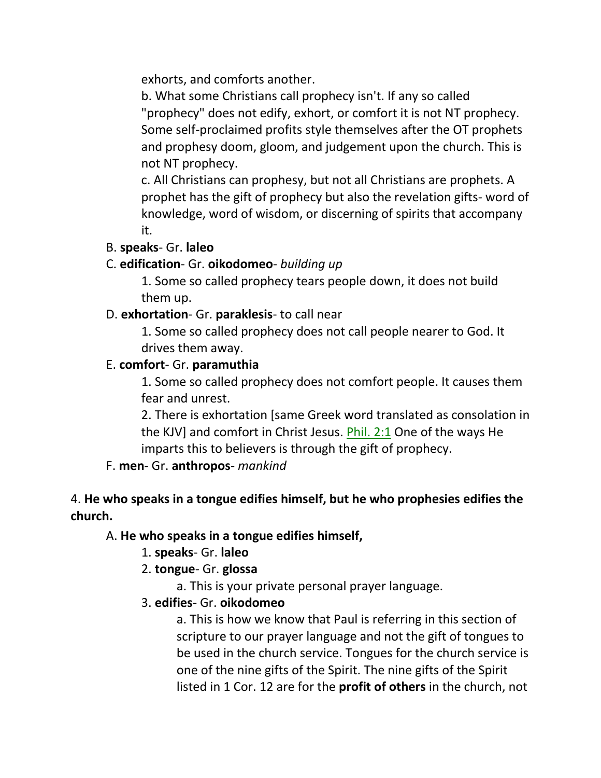exhorts, and comforts another.

b. What some Christians call prophecy isn't. If any so called "prophecy" does not edify, exhort, or comfort it is not NT prophecy. Some self-proclaimed profits style themselves after the OT prophets and prophesy doom, gloom, and judgement upon the church. This is not NT prophecy.

c. All Christians can prophesy, but not all Christians are prophets. A prophet has the gift of prophecy but also the revelation gifts- word of knowledge, word of wisdom, or discerning of spirits that accompany it.

### B. **speaks**- Gr. **laleo**

### C. **edification**- Gr. **oikodomeo**- *building up*

1. Some so called prophecy tears people down, it does not build them up.

### D. **exhortation**- Gr. **paraklesis**- to call near

1. Some so called prophecy does not call people nearer to God. It drives them away.

### E. **comfort**- Gr. **paramuthia**

1. Some so called prophecy does not comfort people. It causes them fear and unrest.

2. There is exhortation [same Greek word translated as consolation in the KJV] and comfort in Christ Jesus. Phil. 2:1 One of the ways He imparts this to believers is through the gift of prophecy.

## F. **men**- Gr. **anthropos**- *mankind*

## 4. **He who speaks in a tongue edifies himself, but he who prophesies edifies the church.**

### A. **He who speaks in a tongue edifies himself,**

1. **speaks**- Gr. **laleo**

## 2. **tongue**- Gr. **glossa**

a. This is your private personal prayer language.

## 3. **edifies**- Gr. **oikodomeo**

a. This is how we know that Paul is referring in this section of scripture to our prayer language and not the gift of tongues to be used in the church service. Tongues for the church service is one of the nine gifts of the Spirit. The nine gifts of the Spirit listed in 1 Cor. 12 are for the **profit of others** in the church, not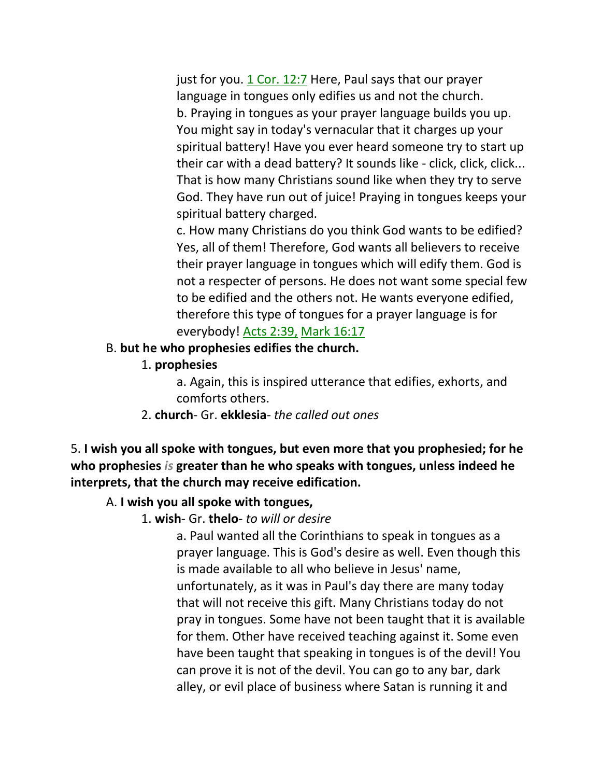just for you.  $1$  Cor. 12:7 Here, Paul says that our prayer language in tongues only edifies us and not the church. b. Praying in tongues as your prayer language builds you up. You might say in today's vernacular that it charges up your spiritual battery! Have you ever heard someone try to start up their car with a dead battery? It sounds like - click, click, click... That is how many Christians sound like when they try to serve God. They have run out of juice! Praying in tongues keeps your spiritual battery charged.

c. How many Christians do you think God wants to be edified? Yes, all of them! Therefore, God wants all believers to receive their prayer language in tongues which will edify them. God is not a respecter of persons. He does not want some special few to be edified and the others not. He wants everyone edified, therefore this type of tongues for a prayer language is for everybody! Acts 2:39, Mark 16:17

#### B. **but he who prophesies edifies the church.**

1. **prophesies**

a. Again, this is inspired utterance that edifies, exhorts, and comforts others.

2. **church**- Gr. **ekklesia**- *the called out ones*

5. **I wish you all spoke with tongues, but even more that you prophesied; for he who prophesies** *is* **greater than he who speaks with tongues, unless indeed he interprets, that the church may receive edification.** 

### A. **I wish you all spoke with tongues,**

1. **wish**- Gr. **thelo**- *to will or desire*

a. Paul wanted all the Corinthians to speak in tongues as a prayer language. This is God's desire as well. Even though this is made available to all who believe in Jesus' name, unfortunately, as it was in Paul's day there are many today that will not receive this gift. Many Christians today do not pray in tongues. Some have not been taught that it is available for them. Other have received teaching against it. Some even have been taught that speaking in tongues is of the devil! You can prove it is not of the devil. You can go to any bar, dark alley, or evil place of business where Satan is running it and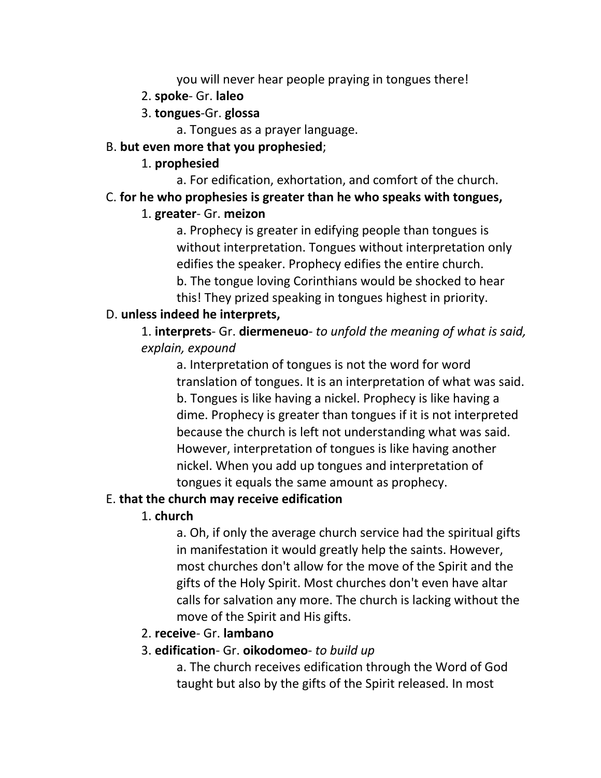you will never hear people praying in tongues there!

- 2. **spoke** Gr. **laleo**
- 3. **tongues**-Gr. **glossa**

a. Tongues as a prayer language.

### B. **but even more that you prophesied**;

### 1. **prophesied**

a. For edification, exhortation, and comfort of the church.

## C. **for he who prophesies is greater than he who speaks with tongues,**

## 1. **greater**- Gr. **meizon**

a. Prophecy is greater in edifying people than tongues is without interpretation. Tongues without interpretation only edifies the speaker. Prophecy edifies the entire church. b. The tongue loving Corinthians would be shocked to hear this! They prized speaking in tongues highest in priority.

## D. **unless indeed he interprets,**

1. **interprets**- Gr. **diermeneuo**- *to unfold the meaning of what is said, explain, expound*

a. Interpretation of tongues is not the word for word translation of tongues. It is an interpretation of what was said. b. Tongues is like having a nickel. Prophecy is like having a dime. Prophecy is greater than tongues if it is not interpreted because the church is left not understanding what was said. However, interpretation of tongues is like having another nickel. When you add up tongues and interpretation of tongues it equals the same amount as prophecy.

# E. **that the church may receive edification**

# 1. **church**

a. Oh, if only the average church service had the spiritual gifts in manifestation it would greatly help the saints. However, most churches don't allow for the move of the Spirit and the gifts of the Holy Spirit. Most churches don't even have altar calls for salvation any more. The church is lacking without the move of the Spirit and His gifts.

# 2. **receive**- Gr. **lambano**

## 3. **edification**- Gr. **oikodomeo**- *to build up*

a. The church receives edification through the Word of God taught but also by the gifts of the Spirit released. In most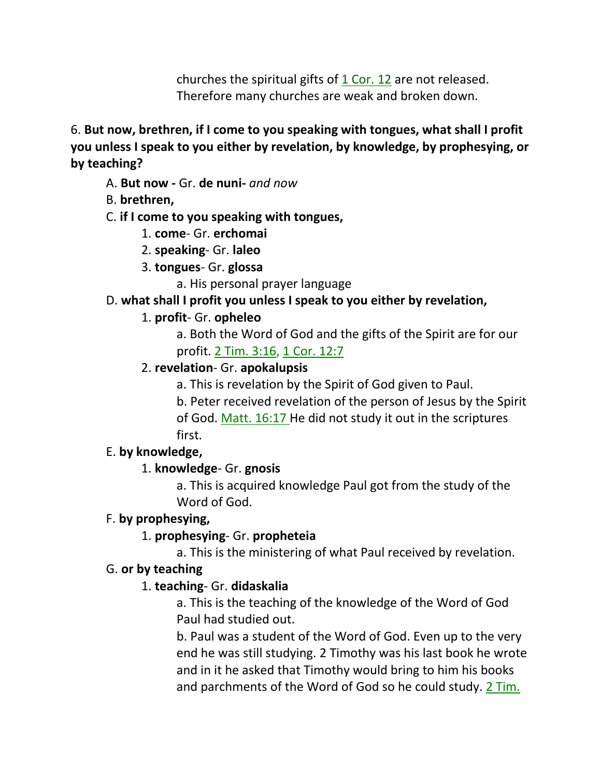churches the spiritual gifts of  $1$  Cor. 12 are not released. Therefore many churches are weak and broken down.

6. **But now, brethren, if I come to you speaking with tongues, what shall I profit you unless I speak to you either by revelation, by knowledge, by prophesying, or by teaching?** 

A. **But now -** Gr. **de nuni-** *and now*

B. **brethren,**

#### C. **if I come to you speaking with tongues,**

#### 1. **come**- Gr. **erchomai**

- 2. **speaking** Gr. **laleo**
- 3. **tongues** Gr. **glossa**
	- a. His personal prayer language

### D. **what shall I profit you unless I speak to you either by revelation,**

### 1. **profit**- Gr. **opheleo**

a. Both the Word of God and the gifts of the Spirit are for our profit. 2 Tim. 3:16, 1 Cor. 12:7

### 2. **revelation**- Gr. **apokalupsis**

a. This is revelation by the Spirit of God given to Paul.

b. Peter received revelation of the person of Jesus by the Spirit of God. Matt. 16:17 He did not study it out in the scriptures first.

### E. **by knowledge,**

## 1. **knowledge**- Gr. **gnosis**

a. This is acquired knowledge Paul got from the study of the Word of God.

### F. **by prophesying,**

## 1. **prophesying**- Gr. **propheteia**

a. This is the ministering of what Paul received by revelation.

### G. **or by teaching**

## 1. **teaching**- Gr. **didaskalia**

a. This is the teaching of the knowledge of the Word of God Paul had studied out.

b. Paul was a student of the Word of God. Even up to the very end he was still studying. 2 Timothy was his last book he wrote and in it he asked that Timothy would bring to him his books and parchments of the Word of God so he could study. 2 Tim.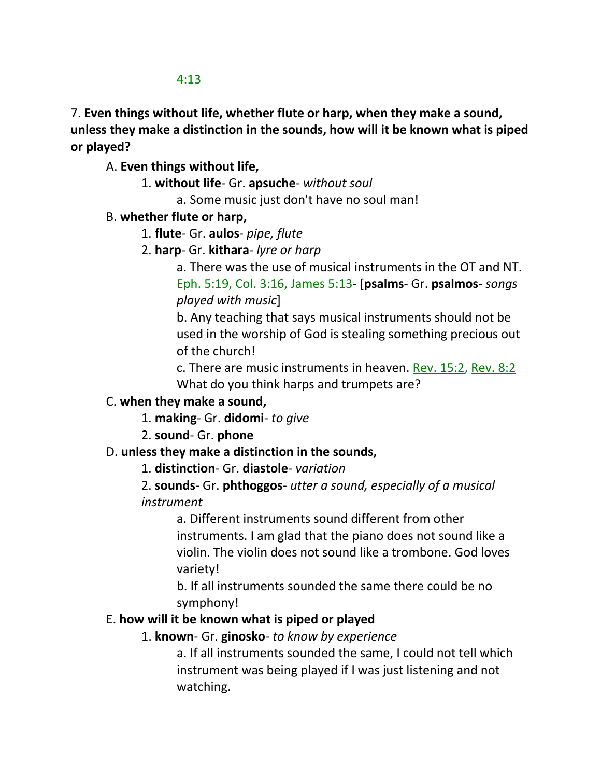## 4:13

7. **Even things without life, whether flute or harp, when they make a sound, unless they make a distinction in the sounds, how will it be known what is piped or played?** 

A. **Even things without life,**

- 1. **without life** Gr. **apsuche** *without soul*
	- a. Some music just don't have no soul man!
- B. **whether flute or harp,**
	- 1. **flute** Gr. **aulos** *pipe, flute*
	- 2. **harp** Gr. **kithara** *lyre or harp*

a. There was the use of musical instruments in the OT and NT. Eph. 5:19, Col. 3:16, James 5:13- [**psalms**- Gr. **psalmos**- *songs played with music*]

b. Any teaching that says musical instruments should not be used in the worship of God is stealing something precious out of the church!

c. There are music instruments in heaven. Rev. 15:2, Rev. 8:2 What do you think harps and trumpets are?

## C. **when they make a sound,**

1. **making**- Gr. **didomi**- *to give*

2. **sound**- Gr. **phone**

## D. **unless they make a distinction in the sounds,**

1. **distinction**- Gr. **diastole**- *variation*

## 2. **sounds**- Gr. **phthoggos**- *utter a sound, especially of a musical instrument*

a. Different instruments sound different from other instruments. I am glad that the piano does not sound like a violin. The violin does not sound like a trombone. God loves variety!

b. If all instruments sounded the same there could be no symphony!

## E. **how will it be known what is piped or played**

## 1. **known**- Gr. **ginosko**- *to know by experience*

a. If all instruments sounded the same, I could not tell which instrument was being played if I was just listening and not watching.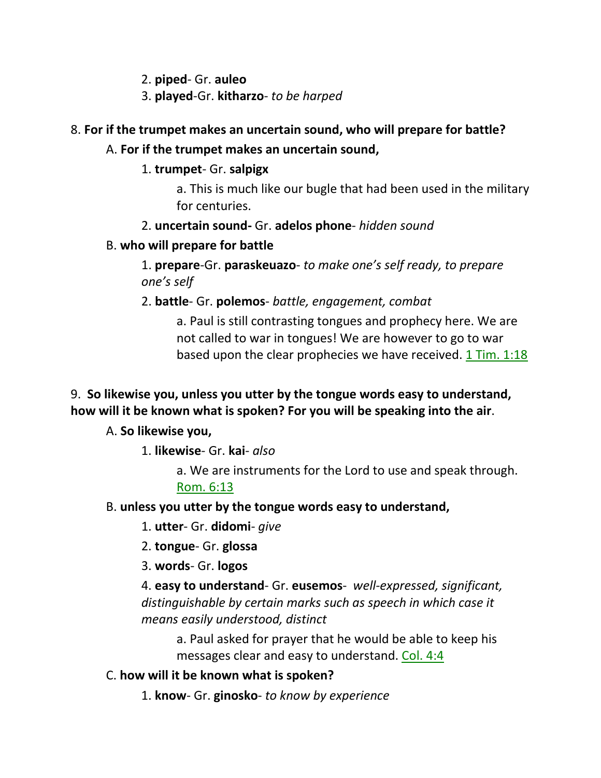2. **piped**- Gr. **auleo**

3. **played**-Gr. **kitharzo**- *to be harped*

## 8. **For if the trumpet makes an uncertain sound, who will prepare for battle?**

### A. **For if the trumpet makes an uncertain sound,**

1. **trumpet**- Gr. **salpigx**

a. This is much like our bugle that had been used in the military for centuries.

2. **uncertain sound-** Gr. **adelos phone**- *hidden sound*

### B. **who will prepare for battle**

1. **prepare**-Gr. **paraskeuazo**- *to make one's self ready, to prepare one's self*

2. **battle**- Gr. **polemos**- *battle, engagement, combat*

a. Paul is still contrasting tongues and prophecy here. We are not called to war in tongues! We are however to go to war based upon the clear prophecies we have received.  $1$  Tim.  $1:18$ 

## 9. **So likewise you, unless you utter by the tongue words easy to understand, how will it be known what is spoken? For you will be speaking into the air**.

## A. **So likewise you,**

1. **likewise**- Gr. **kai**- *also*

a. We are instruments for the Lord to use and speak through. Rom. 6:13

### B. **unless you utter by the tongue words easy to understand,**

1. **utter**- Gr. **didomi**- *give*

2. **tongue**- Gr. **glossa**

3. **words**- Gr. **logos**

4. **easy to understand**- Gr. **eusemos**- *well-expressed, significant, distinguishable by certain marks such as speech in which case it means easily understood, distinct* 

a. Paul asked for prayer that he would be able to keep his messages clear and easy to understand. Col. 4:4

### C. **how will it be known what is spoken?**

1. **know**- Gr. **ginosko**- *to know by experience*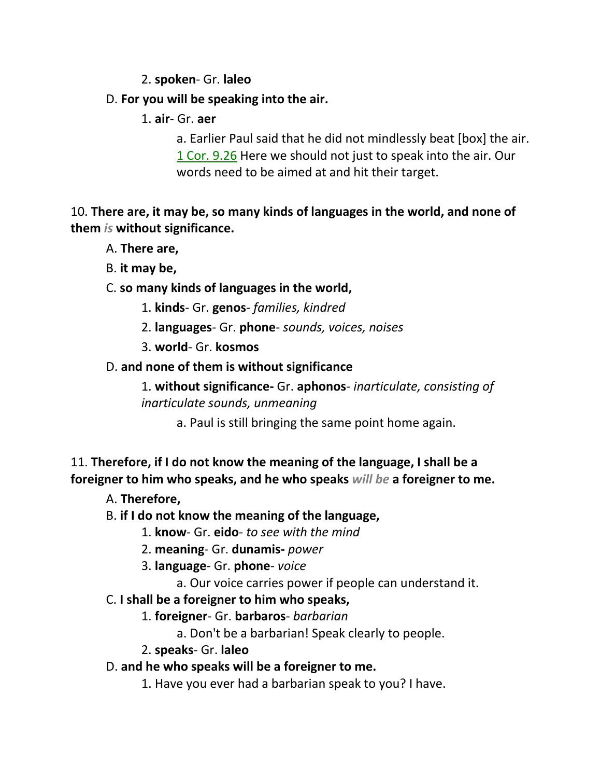### 2. **spoken**- Gr. **laleo**

### D. **For you will be speaking into the air.**

1. **air**- Gr. **aer**

a. Earlier Paul said that he did not mindlessly beat [box] the air. 1 Cor. 9.26 Here we should not just to speak into the air. Our words need to be aimed at and hit their target.

10. **There are, it may be, so many kinds of languages in the world, and none of them** *is* **without significance.** 

- A. **There are,**
- B. **it may be,**

## C. **so many kinds of languages in the world,**

- 1. **kinds** Gr. **genos** *families, kindred*
- 2. **languages** Gr. **phone** *sounds, voices, noises*
- 3. **world** Gr. **kosmos**

### D. **and none of them is without significance**

1. **without significance-** Gr. **aphonos**- *inarticulate, consisting of inarticulate sounds, unmeaning*

a. Paul is still bringing the same point home again.

11. **Therefore, if I do not know the meaning of the language, I shall be a foreigner to him who speaks, and he who speaks** *will be* **a foreigner to me.** 

A. **Therefore,**

## B. **if I do not know the meaning of the language,**

- 1. **know** Gr. **eido** *to see with the mind*
- 2. **meaning** Gr. **dunamis-** *power*
- 3. **language** Gr. **phone** *voice*
	- a. Our voice carries power if people can understand it.
- C. **I shall be a foreigner to him who speaks,**
	- 1. **foreigner** Gr. **barbaros** *barbarian*
		- a. Don't be a barbarian! Speak clearly to people.
	- 2. **speaks** Gr. **laleo**
- D. **and he who speaks will be a foreigner to me.** 
	- 1. Have you ever had a barbarian speak to you? I have.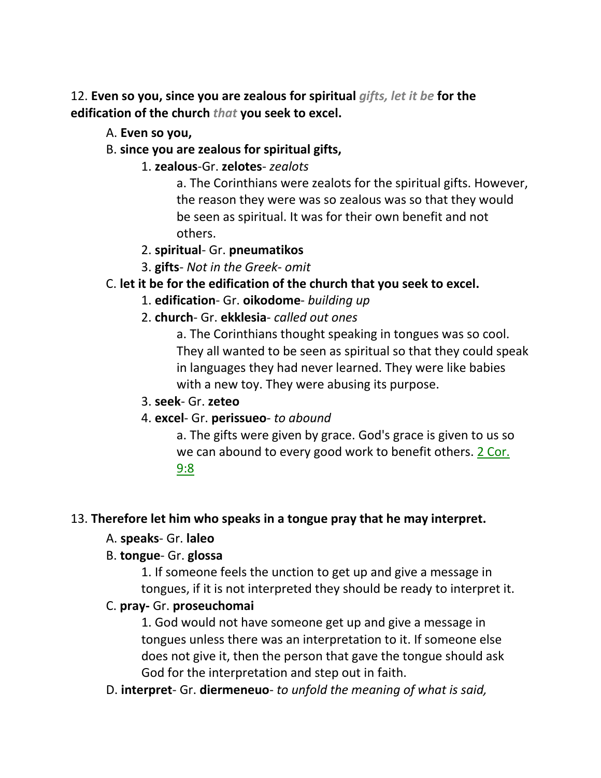12. **Even so you, since you are zealous for spiritual** *gifts, let it be* **for the edification of the church** *that* **you seek to excel.** 

- A. **Even so you,**
- B. **since you are zealous for spiritual gifts,**
	- 1. **zealous**-Gr. **zelotes** *zealots*

a. The Corinthians were zealots for the spiritual gifts. However, the reason they were was so zealous was so that they would be seen as spiritual. It was for their own benefit and not others.

- 2. **spiritual** Gr. **pneumatikos**
- 3. **gifts** *Not in the Greek- omit*
- C. **let it be for the edification of the church that you seek to excel.**
	- 1. **edification** Gr. **oikodome** *building up*
	- 2. **church** Gr. **ekklesia** *called out ones*

a. The Corinthians thought speaking in tongues was so cool. They all wanted to be seen as spiritual so that they could speak in languages they had never learned. They were like babies with a new toy. They were abusing its purpose.

- 3. **seek** Gr. **zeteo**
- 4. **excel** Gr. **perissueo** *to abound*

a. The gifts were given by grace. God's grace is given to us so we can abound to every good work to benefit others. 2 Cor. 9:8

### 13. **Therefore let him who speaks in a tongue pray that he may interpret.**

- A. **speaks** Gr. **laleo**
- B. **tongue** Gr. **glossa**

1. If someone feels the unction to get up and give a message in tongues, if it is not interpreted they should be ready to interpret it.

### C. **pray-** Gr. **proseuchomai**

1. God would not have someone get up and give a message in tongues unless there was an interpretation to it. If someone else does not give it, then the person that gave the tongue should ask God for the interpretation and step out in faith.

D. **interpret**- Gr. **diermeneuo**- *to unfold the meaning of what is said,*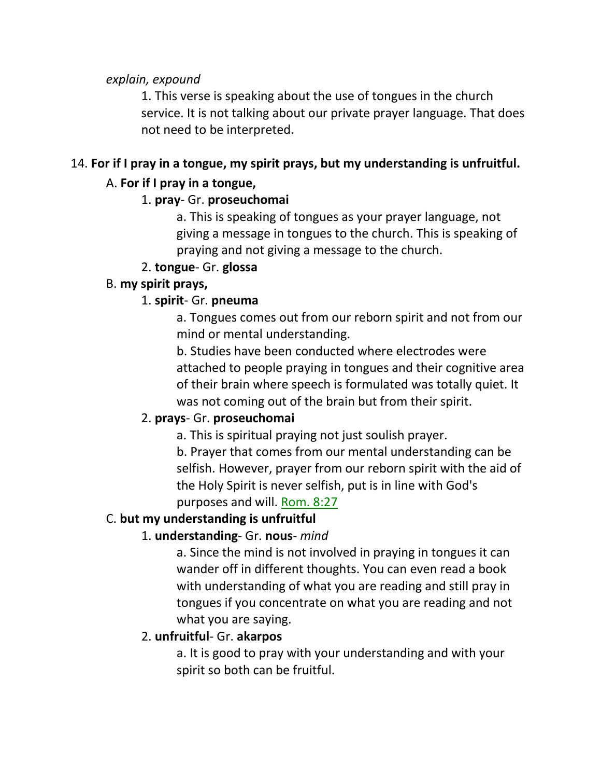*explain, expound*

1. This verse is speaking about the use of tongues in the church service. It is not talking about our private prayer language. That does not need to be interpreted.

# 14. **For if I pray in a tongue, my spirit prays, but my understanding is unfruitful.**

## A. **For if I pray in a tongue,**

## 1. **pray**- Gr. **proseuchomai**

a. This is speaking of tongues as your prayer language, not giving a message in tongues to the church. This is speaking of praying and not giving a message to the church.

## 2. **tongue**- Gr. **glossa**

## B. **my spirit prays,**

# 1. **spirit**- Gr. **pneuma**

a. Tongues comes out from our reborn spirit and not from our mind or mental understanding.

b. Studies have been conducted where electrodes were attached to people praying in tongues and their cognitive area of their brain where speech is formulated was totally quiet. It was not coming out of the brain but from their spirit.

# 2. **prays**- Gr. **proseuchomai**

a. This is spiritual praying not just soulish prayer. b. Prayer that comes from our mental understanding can be

selfish. However, prayer from our reborn spirit with the aid of the Holy Spirit is never selfish, put is in line with God's purposes and will. Rom. 8:27

# C. **but my understanding is unfruitful**

# 1. **understanding**- Gr. **nous**- *mind*

a. Since the mind is not involved in praying in tongues it can wander off in different thoughts. You can even read a book with understanding of what you are reading and still pray in tongues if you concentrate on what you are reading and not what you are saying.

# 2. **unfruitful**- Gr. **akarpos**

a. It is good to pray with your understanding and with your spirit so both can be fruitful.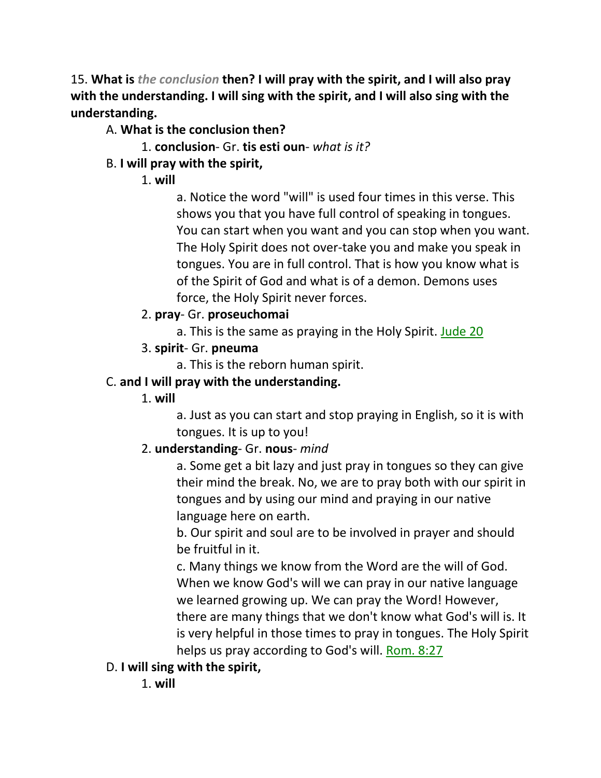15. **What is** *the conclusion* **then? I will pray with the spirit, and I will also pray with the understanding. I will sing with the spirit, and I will also sing with the understanding.**

# A. **What is the conclusion then?**

1. **conclusion**- Gr. **tis esti oun**- *what is it?*

# B. **I will pray with the spirit,**

1. **will**

a. Notice the word "will" is used four times in this verse. This shows you that you have full control of speaking in tongues. You can start when you want and you can stop when you want. The Holy Spirit does not over-take you and make you speak in tongues. You are in full control. That is how you know what is of the Spirit of God and what is of a demon. Demons uses force, the Holy Spirit never forces.

# 2. **pray**- Gr. **proseuchomai**

a. This is the same as praying in the Holy Spirit. Jude 20

# 3. **spirit**- Gr. **pneuma**

a. This is the reborn human spirit.

# C. **and I will pray with the understanding.**

# 1. **will**

a. Just as you can start and stop praying in English, so it is with tongues. It is up to you!

# 2. **understanding**- Gr. **nous**- *mind*

a. Some get a bit lazy and just pray in tongues so they can give their mind the break. No, we are to pray both with our spirit in tongues and by using our mind and praying in our native language here on earth.

b. Our spirit and soul are to be involved in prayer and should be fruitful in it.

c. Many things we know from the Word are the will of God. When we know God's will we can pray in our native language we learned growing up. We can pray the Word! However, there are many things that we don't know what God's will is. It is very helpful in those times to pray in tongues. The Holy Spirit helps us pray according to God's will. Rom. 8:27

# D. **I will sing with the spirit,**

1. **will**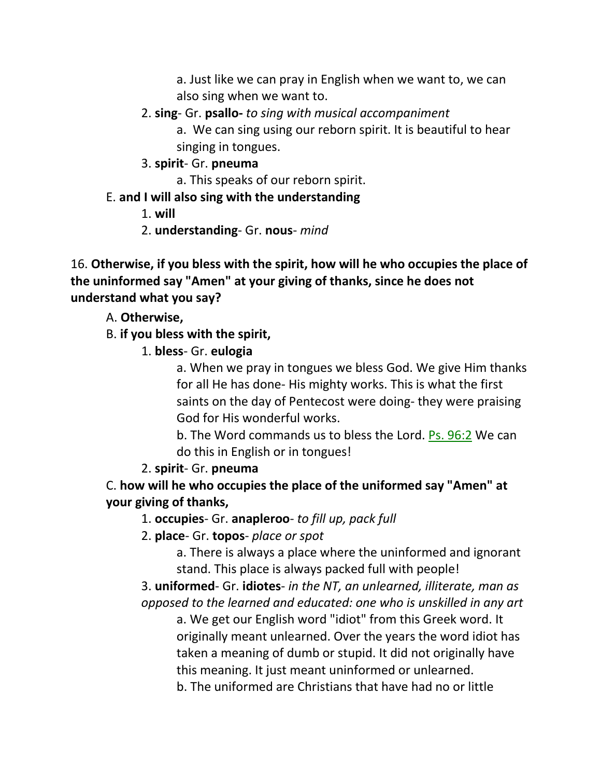a. Just like we can pray in English when we want to, we can also sing when we want to.

- 2. **sing** Gr. **psallo-** *to sing with musical accompaniment*
	- a. We can sing using our reborn spirit. It is beautiful to hear singing in tongues.
- 3. **spirit** Gr. **pneuma**
	- a. This speaks of our reborn spirit.
- E. **and I will also sing with the understanding**
	- 1. **will**
	- 2. **understanding** Gr. **nous** *mind*

16. **Otherwise, if you bless with the spirit, how will he who occupies the place of the uninformed say "Amen" at your giving of thanks, since he does not understand what you say?**

A. **Otherwise,**

B. **if you bless with the spirit,**

1. **bless**- Gr. **eulogia**

a. When we pray in tongues we bless God. We give Him thanks for all He has done- His mighty works. This is what the first saints on the day of Pentecost were doing- they were praising God for His wonderful works.

b. The Word commands us to bless the Lord. Ps. 96:2 We can do this in English or in tongues!

2. **spirit**- Gr. **pneuma**

C. **how will he who occupies the place of the uniformed say "Amen" at your giving of thanks,**

1. **occupies**- Gr. **anapleroo**- *to fill up, pack full*

2. **place**- Gr. **topos**- *place or spot*

a. There is always a place where the uninformed and ignorant stand. This place is always packed full with people!

3. **uniformed**- Gr. **idiotes**- *in the NT, an unlearned, illiterate, man as opposed to the learned and educated: one who is unskilled in any art*

a. We get our English word "idiot" from this Greek word. It originally meant unlearned. Over the years the word idiot has taken a meaning of dumb or stupid. It did not originally have this meaning. It just meant uninformed or unlearned.

b. The uniformed are Christians that have had no or little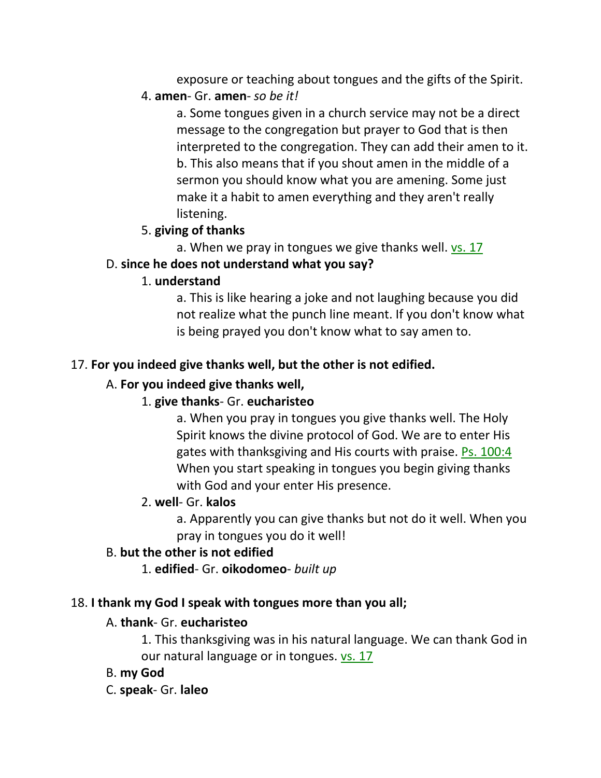exposure or teaching about tongues and the gifts of the Spirit.

### 4. **amen**- Gr. **amen**- *so be it!*

a. Some tongues given in a church service may not be a direct message to the congregation but prayer to God that is then interpreted to the congregation. They can add their amen to it. b. This also means that if you shout amen in the middle of a sermon you should know what you are amening. Some just make it a habit to amen everything and they aren't really listening.

## 5. **giving of thanks**

a. When we pray in tongues we give thanks well.  $vs. 17$ 

## D. **since he does not understand what you say?**

## 1. **understand**

a. This is like hearing a joke and not laughing because you did not realize what the punch line meant. If you don't know what is being prayed you don't know what to say amen to.

## 17. **For you indeed give thanks well, but the other is not edified.**

## A. **For you indeed give thanks well,**

# 1. **give thanks**- Gr. **eucharisteo**

a. When you pray in tongues you give thanks well. The Holy Spirit knows the divine protocol of God. We are to enter His gates with thanksgiving and His courts with praise. Ps. 100:4 When you start speaking in tongues you begin giving thanks with God and your enter His presence.

## 2. **well**- Gr. **kalos**

a. Apparently you can give thanks but not do it well. When you pray in tongues you do it well!

## B. **but the other is not edified**

1. **edified**- Gr. **oikodomeo**- *built up*

## 18. **I thank my God I speak with tongues more than you all;**

## A. **thank**- Gr. **eucharisteo**

1. This thanksgiving was in his natural language. We can thank God in our natural language or in tongues. vs. 17

## B. **my God**

## C. **speak**- Gr. **laleo**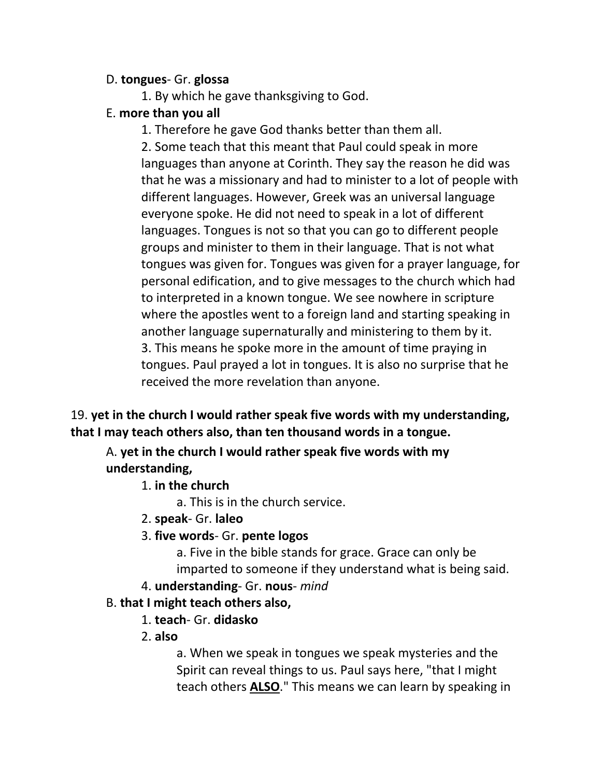#### D. **tongues**- Gr. **glossa**

1. By which he gave thanksgiving to God.

### E. **more than you all**

1. Therefore he gave God thanks better than them all.

2. Some teach that this meant that Paul could speak in more languages than anyone at Corinth. They say the reason he did was that he was a missionary and had to minister to a lot of people with different languages. However, Greek was an universal language everyone spoke. He did not need to speak in a lot of different languages. Tongues is not so that you can go to different people groups and minister to them in their language. That is not what tongues was given for. Tongues was given for a prayer language, for personal edification, and to give messages to the church which had to interpreted in a known tongue. We see nowhere in scripture where the apostles went to a foreign land and starting speaking in another language supernaturally and ministering to them by it. 3. This means he spoke more in the amount of time praying in tongues. Paul prayed a lot in tongues. It is also no surprise that he received the more revelation than anyone.

19. **yet in the church I would rather speak five words with my understanding, that I may teach others also, than ten thousand words in a tongue.** 

A. **yet in the church I would rather speak five words with my understanding,**

## 1. **in the church**

a. This is in the church service.

- 2. **speak** Gr. **laleo**
- 3. **five words** Gr. **pente logos**

a. Five in the bible stands for grace. Grace can only be imparted to someone if they understand what is being said.

4. **understanding**- Gr. **nous**- *mind*

# B. **that I might teach others also,**

- 1. **teach** Gr. **didasko**
- 2. **also**

a. When we speak in tongues we speak mysteries and the Spirit can reveal things to us. Paul says here, "that I might teach others **ALSO**." This means we can learn by speaking in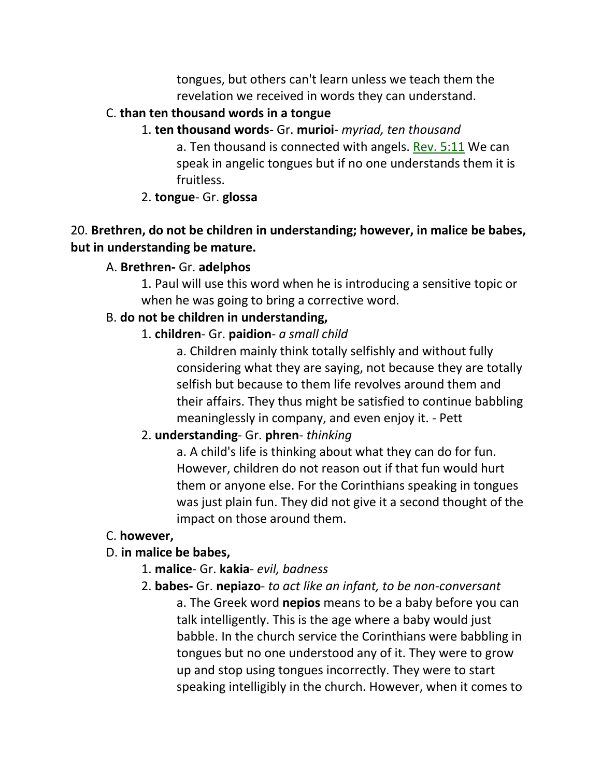tongues, but others can't learn unless we teach them the revelation we received in words they can understand.

### C. **than ten thousand words in a tongue**

1. **ten thousand words**- Gr. **murioi**- *myriad, ten thousand* a. Ten thousand is connected with angels. Rev. 5:11 We can speak in angelic tongues but if no one understands them it is fruitless.

## 2. **tongue**- Gr. **glossa**

## 20. **Brethren, do not be children in understanding; however, in malice be babes, but in understanding be mature.**

## A. **Brethren-** Gr. **adelphos**

1. Paul will use this word when he is introducing a sensitive topic or when he was going to bring a corrective word.

## B. **do not be children in understanding,**

## 1. **children**- Gr. **paidion**- *a small child*

a. Children mainly think totally selfishly and without fully considering what they are saying, not because they are totally selfish but because to them life revolves around them and their affairs. They thus might be satisfied to continue babbling meaninglessly in company, and even enjoy it. - Pett

# 2. **understanding**- Gr. **phren**- *thinking*

a. A child's life is thinking about what they can do for fun. However, children do not reason out if that fun would hurt them or anyone else. For the Corinthians speaking in tongues was just plain fun. They did not give it a second thought of the impact on those around them.

# C. **however,**

# D. **in malice be babes,**

- 1. **malice** Gr. **kakia** *evil, badness*
- 2. **babes-** Gr. **nepiazo** *to act like an infant, to be non-conversant* a. The Greek word **nepios** means to be a baby before you can talk intelligently. This is the age where a baby would just babble. In the church service the Corinthians were babbling in tongues but no one understood any of it. They were to grow up and stop using tongues incorrectly. They were to start speaking intelligibly in the church. However, when it comes to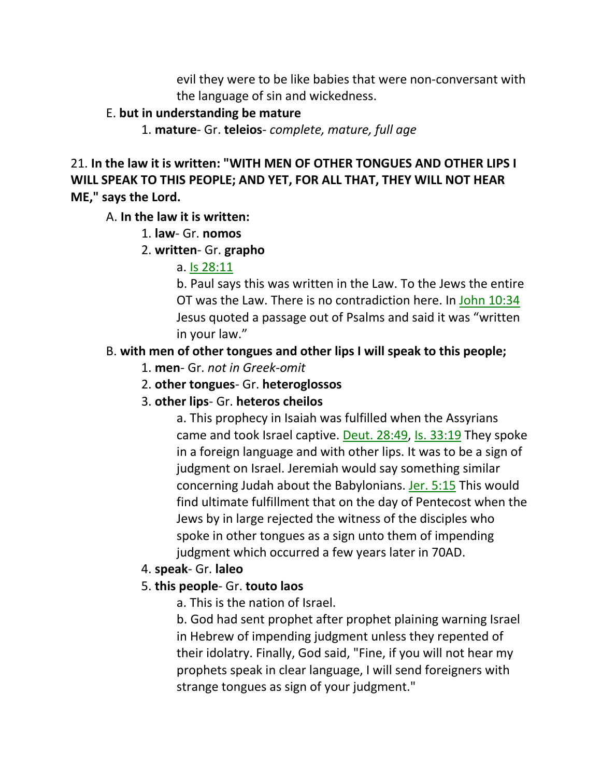evil they were to be like babies that were non-conversant with the language of sin and wickedness.

### E. **but in understanding be mature**

1. **mature**- Gr. **teleios**- *complete, mature, full age*

21. **In the law it is written: "WITH MEN OF OTHER TONGUES AND OTHER LIPS I WILL SPEAK TO THIS PEOPLE; AND YET, FOR ALL THAT, THEY WILL NOT HEAR ME," says the Lord.** 

A. **In the law it is written:**

1. **law**- Gr. **nomos**

2. **written**- Gr. **grapho**

a. Is 28:11

b. Paul says this was written in the Law. To the Jews the entire OT was the Law. There is no contradiction here. In John 10:34 Jesus quoted a passage out of Psalms and said it was "written in your law."

# B. **with men of other tongues and other lips I will speak to this people;**

- 1. **men** Gr. *not in Greek-omit*
- 2. **other tongues** Gr. **heteroglossos**
- 3. **other lips** Gr. **heteros cheilos**

a. This prophecy in Isaiah was fulfilled when the Assyrians came and took Israel captive. Deut. 28:49, Is. 33:19 They spoke in a foreign language and with other lips. It was to be a sign of judgment on Israel. Jeremiah would say something similar concerning Judah about the Babylonians. Jer. 5:15 This would find ultimate fulfillment that on the day of Pentecost when the Jews by in large rejected the witness of the disciples who spoke in other tongues as a sign unto them of impending judgment which occurred a few years later in 70AD.

# 4. **speak**- Gr. **laleo**

# 5. **this people**- Gr. **touto laos**

a. This is the nation of Israel.

b. God had sent prophet after prophet plaining warning Israel in Hebrew of impending judgment unless they repented of their idolatry. Finally, God said, "Fine, if you will not hear my prophets speak in clear language, I will send foreigners with strange tongues as sign of your judgment."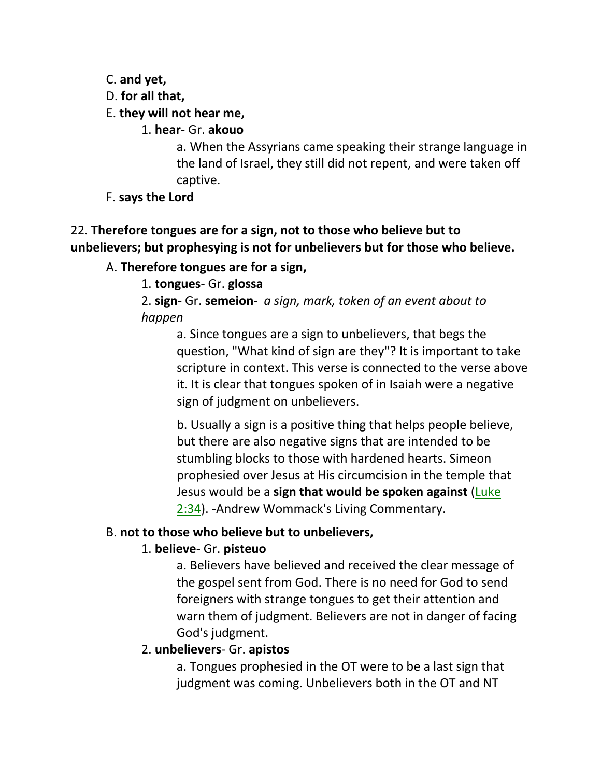C. **and yet,**

D. **for all that,**

E. **they will not hear me,**

1. **hear**- Gr. **akouo**

a. When the Assyrians came speaking their strange language in the land of Israel, they still did not repent, and were taken off captive.

F. **says the Lord**

# 22. **Therefore tongues are for a sign, not to those who believe but to unbelievers; but prophesying is not for unbelievers but for those who believe.**

## A. **Therefore tongues are for a sign,**

1. **tongues**- Gr. **glossa**

2. **sign**- Gr. **semeion**- *a sign, mark, token of an event about to happen*

a. Since tongues are a sign to unbelievers, that begs the question, "What kind of sign are they"? It is important to take scripture in context. This verse is connected to the verse above it. It is clear that tongues spoken of in Isaiah were a negative sign of judgment on unbelievers.

b. Usually a sign is a positive thing that helps people believe, but there are also negative signs that are intended to be stumbling blocks to those with hardened hearts. Simeon prophesied over Jesus at His circumcision in the temple that Jesus would be a **sign that would be spoken against** [\(Luke](http://www.crossbooks.com/verse.asp)  [2:34\)](http://www.crossbooks.com/verse.asp). -Andrew Wommack's Living Commentary.

## B. **not to those who believe but to unbelievers,**

## 1. **believe**- Gr. **pisteuo**

a. Believers have believed and received the clear message of the gospel sent from God. There is no need for God to send foreigners with strange tongues to get their attention and warn them of judgment. Believers are not in danger of facing God's judgment.

# 2. **unbelievers**- Gr. **apistos**

a. Tongues prophesied in the OT were to be a last sign that judgment was coming. Unbelievers both in the OT and NT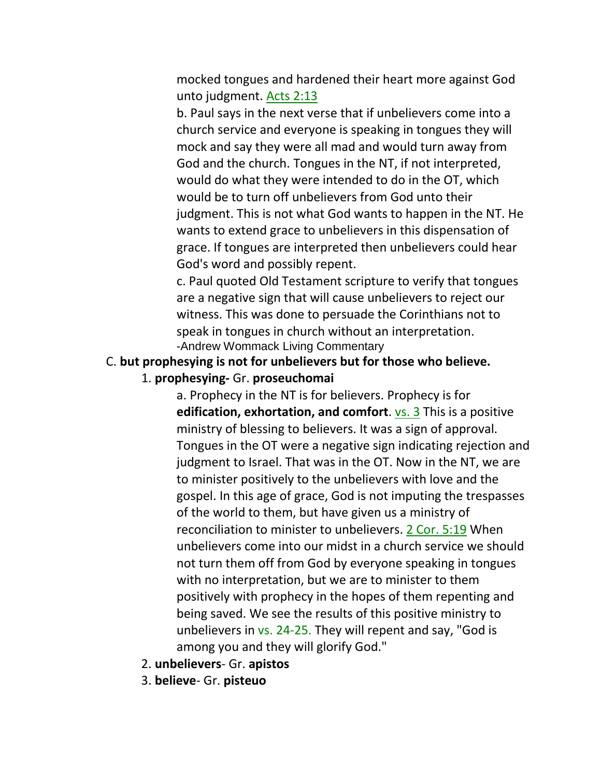mocked tongues and hardened their heart more against God unto judgment. Acts 2:13

b. Paul says in the next verse that if unbelievers come into a church service and everyone is speaking in tongues they will mock and say they were all mad and would turn away from God and the church. Tongues in the NT, if not interpreted, would do what they were intended to do in the OT, which would be to turn off unbelievers from God unto their judgment. This is not what God wants to happen in the NT. He wants to extend grace to unbelievers in this dispensation of grace. If tongues are interpreted then unbelievers could hear God's word and possibly repent.

c. Paul quoted Old Testament scripture to verify that tongues are a negative sign that will cause unbelievers to reject our witness. This was done to persuade the Corinthians not to speak in tongues in church without an interpretation. -Andrew Wommack Living Commentary

#### C. **but prophesying is not for unbelievers but for those who believe.**

1. **prophesying-** Gr. **proseuchomai**

a. Prophecy in the NT is for believers. Prophecy is for **edification, exhortation, and comfort**. vs. 3 This is a positive ministry of blessing to believers. It was a sign of approval. Tongues in the OT were a negative sign indicating rejection and judgment to Israel. That was in the OT. Now in the NT, we are to minister positively to the unbelievers with love and the gospel. In this age of grace, God is not imputing the trespasses of the world to them, but have given us a ministry of reconciliation to minister to unbelievers. 2 Cor. 5:19 When unbelievers come into our midst in a church service we should not turn them off from God by everyone speaking in tongues with no interpretation, but we are to minister to them positively with prophecy in the hopes of them repenting and being saved. We see the results of this positive ministry to unbelievers in vs. 24-25. They will repent and say, "God is among you and they will glorify God."

- 2. **unbelievers** Gr. **apistos**
- 3. **believe** Gr. **pisteuo**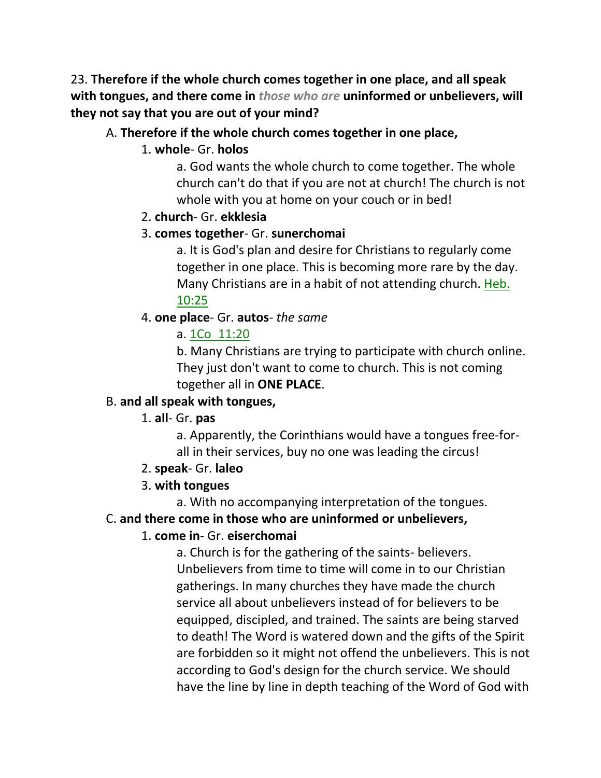23. **Therefore if the whole church comes together in one place, and all speak with tongues, and there come in** *those who are* **uninformed or unbelievers, will they not say that you are out of your mind?** 

#### A. **Therefore if the whole church comes together in one place,**

#### 1. **whole**- Gr. **holos**

a. God wants the whole church to come together. The whole church can't do that if you are not at church! The church is not whole with you at home on your couch or in bed!

#### 2. **church**- Gr. **ekklesia**

#### 3. **comes together**- Gr. **sunerchomai**

a. It is God's plan and desire for Christians to regularly come together in one place. This is becoming more rare by the day. Many Christians are in a habit of not attending church. Heb. 10:25

### 4. **one place**- Gr. **autos**- *the same*

### a. 1Co\_11:20

b. Many Christians are trying to participate with church online. They just don't want to come to church. This is not coming together all in **ONE PLACE**.

### B. **and all speak with tongues,**

### 1. **all**- Gr. **pas**

a. Apparently, the Corinthians would have a tongues free-forall in their services, buy no one was leading the circus!

#### 2. **speak**- Gr. **laleo**

### 3. **with tongues**

a. With no accompanying interpretation of the tongues.

#### C. **and there come in those who are uninformed or unbelievers,**

### 1. **come in**- Gr. **eiserchomai**

a. Church is for the gathering of the saints- believers. Unbelievers from time to time will come in to our Christian gatherings. In many churches they have made the church service all about unbelievers instead of for believers to be equipped, discipled, and trained. The saints are being starved to death! The Word is watered down and the gifts of the Spirit are forbidden so it might not offend the unbelievers. This is not according to God's design for the church service. We should have the line by line in depth teaching of the Word of God with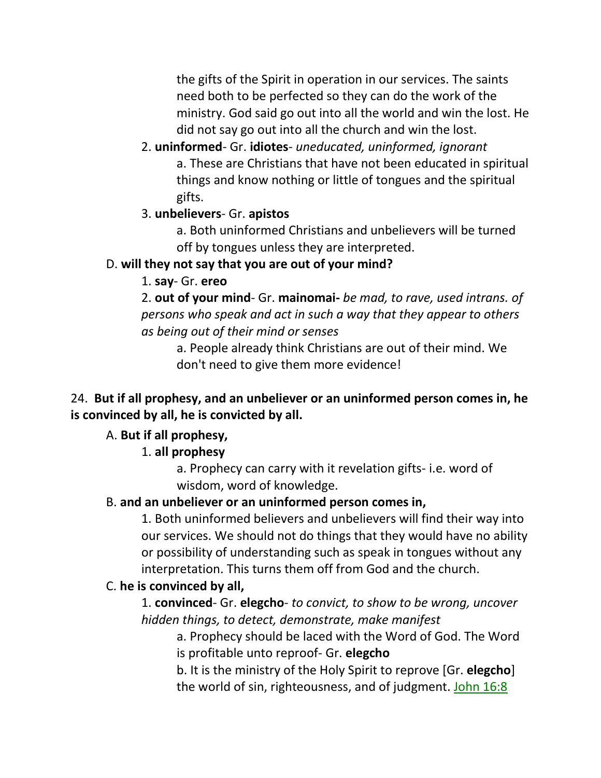the gifts of the Spirit in operation in our services. The saints need both to be perfected so they can do the work of the ministry. God said go out into all the world and win the lost. He did not say go out into all the church and win the lost.

- 2. **uninformed** Gr. **idiotes** *uneducated, uninformed, ignorant* a. These are Christians that have not been educated in spiritual things and know nothing or little of tongues and the spiritual gifts.
- 3. **unbelievers** Gr. **apistos**

a. Both uninformed Christians and unbelievers will be turned off by tongues unless they are interpreted.

# D. **will they not say that you are out of your mind?**

## 1. **say**- Gr. **ereo**

2. **out of your mind**- Gr. **mainomai-** *be mad, to rave, used intrans. of persons who speak and act in such a way that they appear to others as being out of their mind or senses* 

a. People already think Christians are out of their mind. We don't need to give them more evidence!

## 24. **But if all prophesy, and an unbeliever or an uninformed person comes in, he is convinced by all, he is convicted by all.**

# A. **But if all prophesy,**

# 1. **all prophesy**

a. Prophecy can carry with it revelation gifts- i.e. word of wisdom, word of knowledge.

## B. **and an unbeliever or an uninformed person comes in,**

1. Both uninformed believers and unbelievers will find their way into our services. We should not do things that they would have no ability or possibility of understanding such as speak in tongues without any interpretation. This turns them off from God and the church.

# C. **he is convinced by all,**

1. **convinced**- Gr. **elegcho**- *to convict, to show to be wrong, uncover hidden things, to detect, demonstrate, make manifest* 

a. Prophecy should be laced with the Word of God. The Word is profitable unto reproof- Gr. **elegcho**

b. It is the ministry of the Holy Spirit to reprove [Gr. **elegcho**] the world of sin, righteousness, and of judgment. John 16:8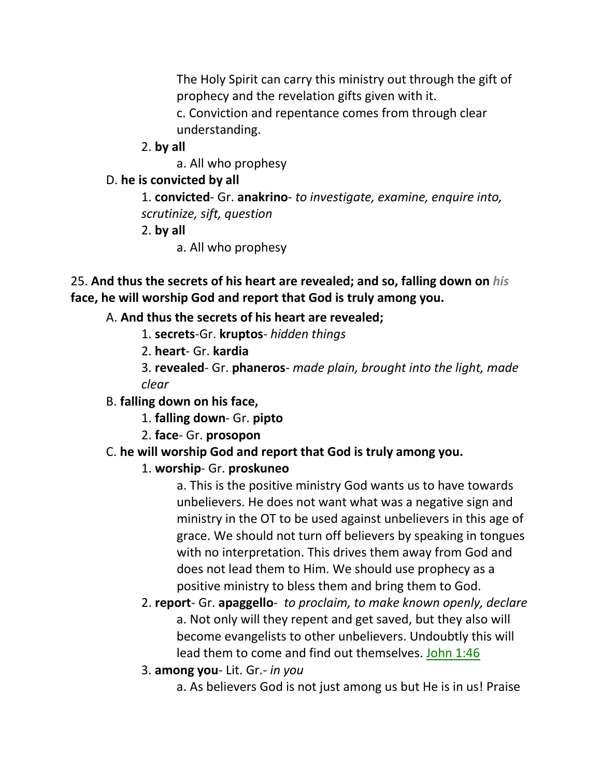The Holy Spirit can carry this ministry out through the gift of prophecy and the revelation gifts given with it.

c. Conviction and repentance comes from through clear understanding.

2. **by all**

a. All who prophesy

# D. **he is convicted by all**

1. **convicted**- Gr. **anakrino**- *to investigate, examine, enquire into, scrutinize, sift, question*

- 2. **by all**
	- a. All who prophesy

25. **And thus the secrets of his heart are revealed; and so, falling down on** *his* **face, he will worship God and report that God is truly among you.**

# A. **And thus the secrets of his heart are revealed;**

- 1. **secrets**-Gr. **kruptos** *hidden things*
- 2. **heart** Gr. **kardia**
- 3. **revealed** Gr. **phaneros** *made plain, brought into the light, made clear*

# B. **falling down on his face,**

- 1. **falling down** Gr. **pipto**
- 2. **face** Gr. **prosopon**

# C. **he will worship God and report that God is truly among you.**

# 1. **worship**- Gr. **proskuneo**

a. This is the positive ministry God wants us to have towards unbelievers. He does not want what was a negative sign and ministry in the OT to be used against unbelievers in this age of grace. We should not turn off believers by speaking in tongues with no interpretation. This drives them away from God and does not lead them to Him. We should use prophecy as a positive ministry to bless them and bring them to God.

- 2. **report** Gr. **apaggello** *to proclaim, to make known openly, declare* a. Not only will they repent and get saved, but they also will become evangelists to other unbelievers. Undoubtly this will lead them to come and find out themselves. John 1:46
- 3. **among you** Lit. Gr.- *in you*
	- a. As believers God is not just among us but He is in us! Praise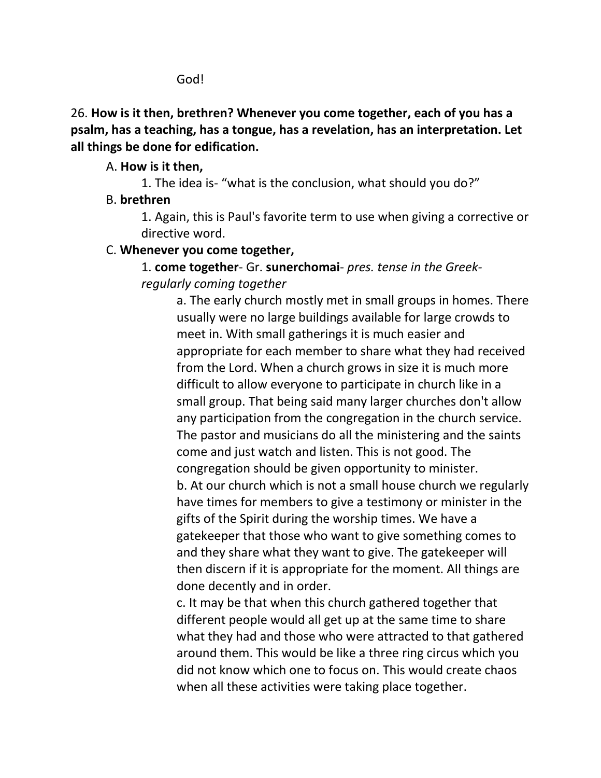God!

26. **How is it then, brethren? Whenever you come together, each of you has a psalm, has a teaching, has a tongue, has a revelation, has an interpretation. Let all things be done for edification.** 

#### A. **How is it then,**

1. The idea is- "what is the conclusion, what should you do?"

### B. **brethren**

1. Again, this is Paul's favorite term to use when giving a corrective or directive word.

#### C. **Whenever you come together,**

1. **come together**- Gr. **sunerchomai**- *pres. tense in the Greekregularly coming together*

a. The early church mostly met in small groups in homes. There usually were no large buildings available for large crowds to meet in. With small gatherings it is much easier and appropriate for each member to share what they had received from the Lord. When a church grows in size it is much more difficult to allow everyone to participate in church like in a small group. That being said many larger churches don't allow any participation from the congregation in the church service. The pastor and musicians do all the ministering and the saints come and just watch and listen. This is not good. The congregation should be given opportunity to minister. b. At our church which is not a small house church we regularly have times for members to give a testimony or minister in the gifts of the Spirit during the worship times. We have a gatekeeper that those who want to give something comes to and they share what they want to give. The gatekeeper will then discern if it is appropriate for the moment. All things are done decently and in order.

c. It may be that when this church gathered together that different people would all get up at the same time to share what they had and those who were attracted to that gathered around them. This would be like a three ring circus which you did not know which one to focus on. This would create chaos when all these activities were taking place together.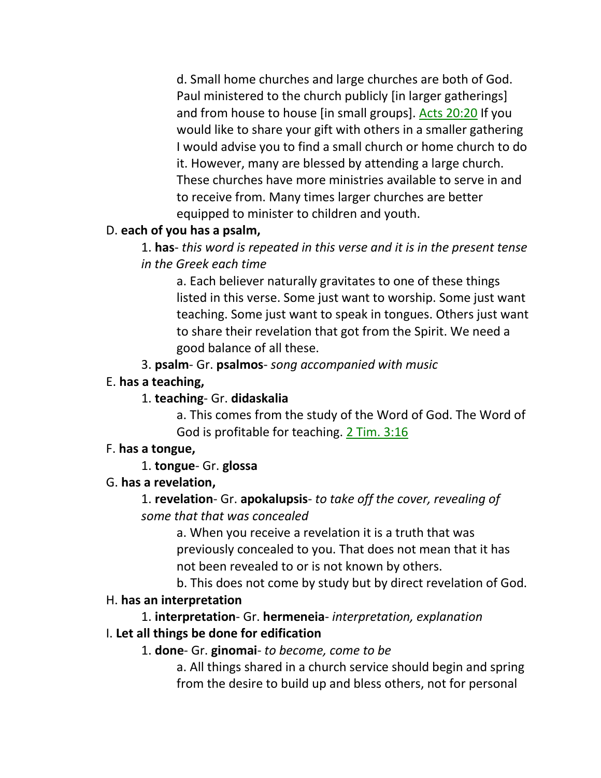d. Small home churches and large churches are both of God. Paul ministered to the church publicly [in larger gatherings] and from house to house [in small groups]. Acts 20:20 If you would like to share your gift with others in a smaller gathering I would advise you to find a small church or home church to do it. However, many are blessed by attending a large church. These churches have more ministries available to serve in and to receive from. Many times larger churches are better equipped to minister to children and youth.

## D. **each of you has a psalm,**

1. **has**- *this word is repeated in this verse and it is in the present tense in the Greek each time*

a. Each believer naturally gravitates to one of these things listed in this verse. Some just want to worship. Some just want teaching. Some just want to speak in tongues. Others just want to share their revelation that got from the Spirit. We need a good balance of all these.

3. **psalm**- Gr. **psalmos**- *song accompanied with music*

### E. **has a teaching,**

## 1. **teaching**- Gr. **didaskalia**

a. This comes from the study of the Word of God. The Word of God is profitable for teaching. 2 Tim. 3:16

## F. **has a tongue,**

## 1. **tongue**- Gr. **glossa**

## G. **has a revelation,**

# 1. **revelation**- Gr. **apokalupsis**- *to take off the cover, revealing of some that that was concealed*

a. When you receive a revelation it is a truth that was previously concealed to you. That does not mean that it has not been revealed to or is not known by others.

b. This does not come by study but by direct revelation of God.

## H. **has an interpretation**

# 1. **interpretation**- Gr. **hermeneia**- *interpretation, explanation*

## I. **Let all things be done for edification**

## 1. **done**- Gr. **ginomai**- *to become, come to be*

a. All things shared in a church service should begin and spring from the desire to build up and bless others, not for personal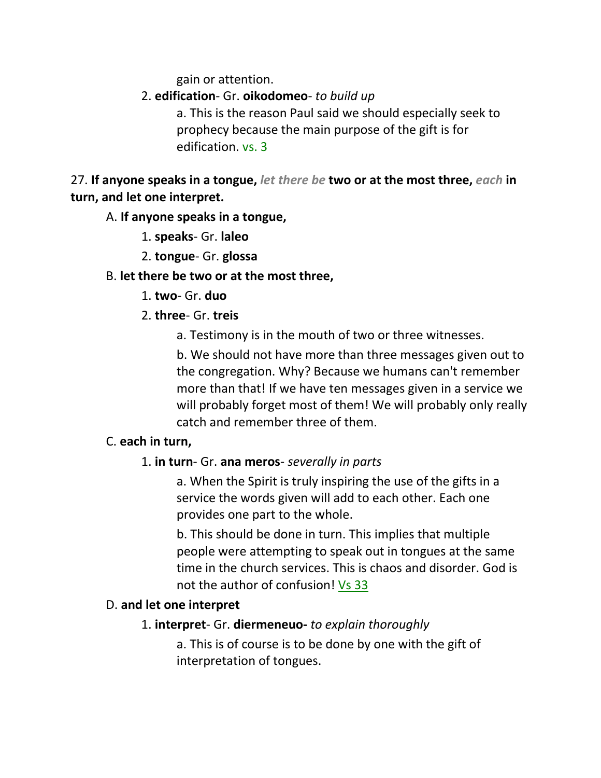gain or attention.

### 2. **edification**- Gr. **oikodomeo**- *to build up*

a. This is the reason Paul said we should especially seek to prophecy because the main purpose of the gift is for edification. vs. 3

27. **If anyone speaks in a tongue,** *let there be* **two or at the most three,** *each* **in turn, and let one interpret.** 

#### A. **If anyone speaks in a tongue,**

- 1. **speaks** Gr. **laleo**
- 2. **tongue** Gr. **glossa**

### B. **let there be two or at the most three,**

- 1. **two** Gr. **duo**
- 2. **three** Gr. **treis**
	- a. Testimony is in the mouth of two or three witnesses.

b. We should not have more than three messages given out to the congregation. Why? Because we humans can't remember more than that! If we have ten messages given in a service we will probably forget most of them! We will probably only really catch and remember three of them.

### C. **each in turn,**

## 1. **in turn**- Gr. **ana meros**- *severally in parts*

a. When the Spirit is truly inspiring the use of the gifts in a service the words given will add to each other. Each one provides one part to the whole.

b. This should be done in turn. This implies that multiple people were attempting to speak out in tongues at the same time in the church services. This is chaos and disorder. God is not the author of confusion! Vs 33

### D. **and let one interpret**

## 1. **interpret**- Gr. **diermeneuo-** *to explain thoroughly*

a. This is of course is to be done by one with the gift of interpretation of tongues.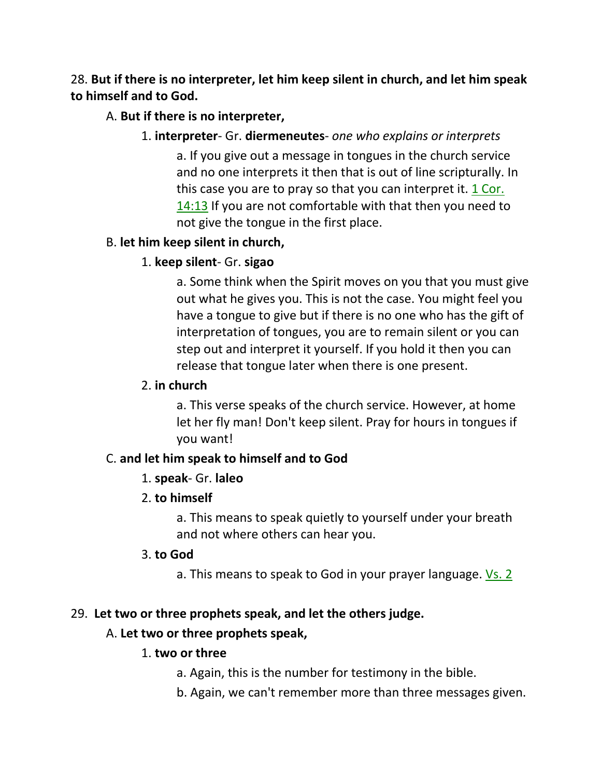## 28. **But if there is no interpreter, let him keep silent in church, and let him speak to himself and to God.**

### A. **But if there is no interpreter,**

### 1. **interpreter**- Gr. **diermeneutes**- *one who explains or interprets*

a. If you give out a message in tongues in the church service and no one interprets it then that is out of line scripturally. In this case you are to pray so that you can interpret it. 1 Cor. 14:13 If you are not comfortable with that then you need to not give the tongue in the first place.

### B. **let him keep silent in church,**

## 1. **keep silent**- Gr. **sigao**

a. Some think when the Spirit moves on you that you must give out what he gives you. This is not the case. You might feel you have a tongue to give but if there is no one who has the gift of interpretation of tongues, you are to remain silent or you can step out and interpret it yourself. If you hold it then you can release that tongue later when there is one present.

#### 2. **in church**

a. This verse speaks of the church service. However, at home let her fly man! Don't keep silent. Pray for hours in tongues if you want!

### C. **and let him speak to himself and to God**

### 1. **speak**- Gr. **laleo**

### 2. **to himself**

a. This means to speak quietly to yourself under your breath and not where others can hear you.

### 3. **to God**

a. This means to speak to God in your prayer language. Vs. 2

### 29. **Let two or three prophets speak, and let the others judge.**

### A. **Let two or three prophets speak,**

### 1. **two or three**

- a. Again, this is the number for testimony in the bible.
- b. Again, we can't remember more than three messages given.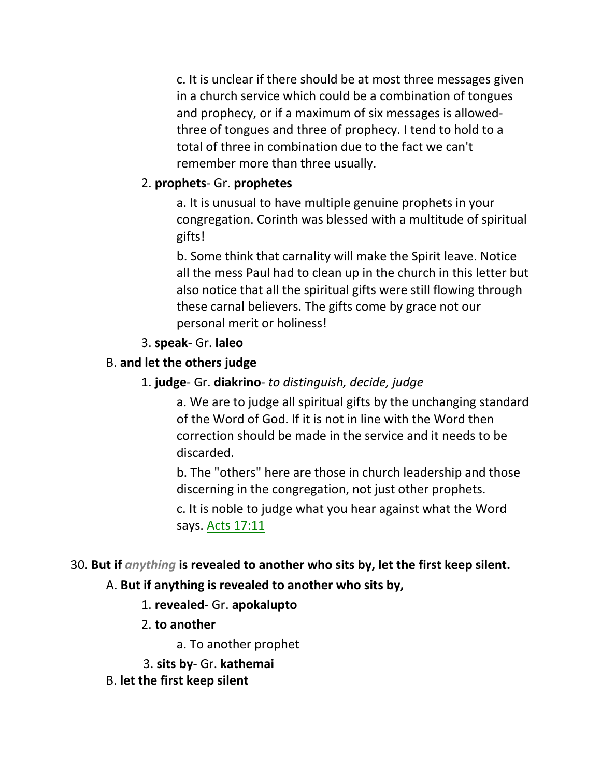c. It is unclear if there should be at most three messages given in a church service which could be a combination of tongues and prophecy, or if a maximum of six messages is allowedthree of tongues and three of prophecy. I tend to hold to a total of three in combination due to the fact we can't remember more than three usually.

### 2. **prophets**- Gr. **prophetes**

a. It is unusual to have multiple genuine prophets in your congregation. Corinth was blessed with a multitude of spiritual gifts!

b. Some think that carnality will make the Spirit leave. Notice all the mess Paul had to clean up in the church in this letter but also notice that all the spiritual gifts were still flowing through these carnal believers. The gifts come by grace not our personal merit or holiness!

### 3. **speak**- Gr. **laleo**

## B. **and let the others judge**

1. **judge**- Gr. **diakrino**- *to distinguish, decide, judge*

a. We are to judge all spiritual gifts by the unchanging standard of the Word of God. If it is not in line with the Word then correction should be made in the service and it needs to be discarded.

b. The "others" here are those in church leadership and those discerning in the congregation, not just other prophets.

c. It is noble to judge what you hear against what the Word says. Acts 17:11

### 30. **But if** *anything* **is revealed to another who sits by, let the first keep silent.**

## A. **But if anything is revealed to another who sits by,**

- 1. **revealed** Gr. **apokalupto**
- 2. **to another**

a. To another prophet

- 3. **sits by** Gr. **kathemai**
- B. **let the first keep silent**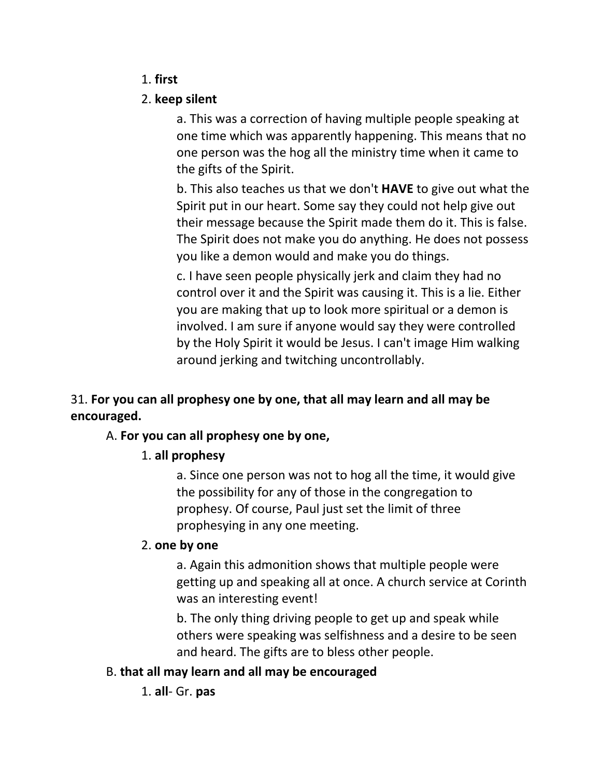### 1. **first**

### 2. **keep silent**

a. This was a correction of having multiple people speaking at one time which was apparently happening. This means that no one person was the hog all the ministry time when it came to the gifts of the Spirit.

b. This also teaches us that we don't **HAVE** to give out what the Spirit put in our heart. Some say they could not help give out their message because the Spirit made them do it. This is false. The Spirit does not make you do anything. He does not possess you like a demon would and make you do things.

c. I have seen people physically jerk and claim they had no control over it and the Spirit was causing it. This is a lie. Either you are making that up to look more spiritual or a demon is involved. I am sure if anyone would say they were controlled by the Holy Spirit it would be Jesus. I can't image Him walking around jerking and twitching uncontrollably.

# 31. **For you can all prophesy one by one, that all may learn and all may be encouraged.**

## A. **For you can all prophesy one by one,**

## 1. **all prophesy**

a. Since one person was not to hog all the time, it would give the possibility for any of those in the congregation to prophesy. Of course, Paul just set the limit of three prophesying in any one meeting.

## 2. **one by one**

a. Again this admonition shows that multiple people were getting up and speaking all at once. A church service at Corinth was an interesting event!

b. The only thing driving people to get up and speak while others were speaking was selfishness and a desire to be seen and heard. The gifts are to bless other people.

## B. **that all may learn and all may be encouraged**

1. **all**- Gr. **pas**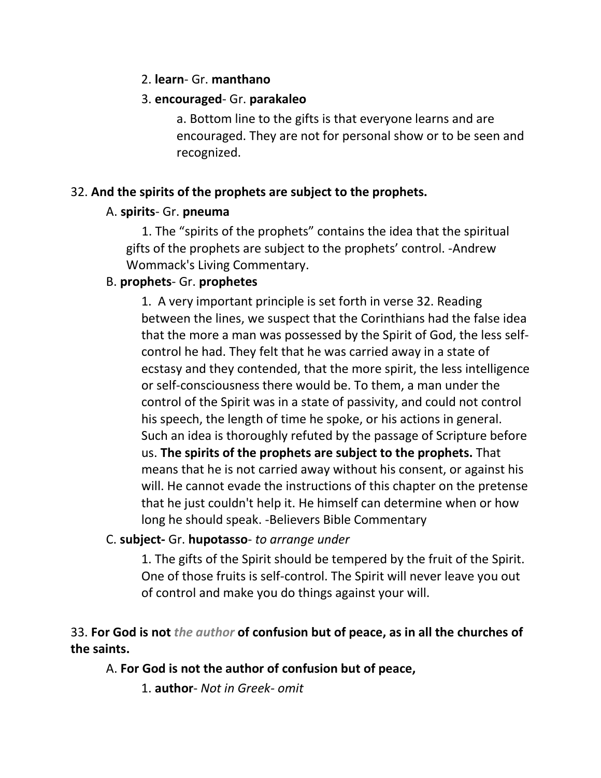#### 2. **learn**- Gr. **manthano**

### 3. **encouraged**- Gr. **parakaleo**

a. Bottom line to the gifts is that everyone learns and are encouraged. They are not for personal show or to be seen and recognized.

### 32. **And the spirits of the prophets are subject to the prophets.**

### A. **spirits**- Gr. **pneuma**

 1. The "spirits of the prophets" contains the idea that the spiritual gifts of the prophets are subject to the prophets' control. -Andrew Wommack's Living Commentary.

## B. **prophets**- Gr. **prophetes**

1. A very important principle is set forth in verse 32. Reading between the lines, we suspect that the Corinthians had the false idea that the more a man was possessed by the Spirit of God, the less selfcontrol he had. They felt that he was carried away in a state of ecstasy and they contended, that the more spirit, the less intelligence or self-consciousness there would be. To them, a man under the control of the Spirit was in a state of passivity, and could not control his speech, the length of time he spoke, or his actions in general. Such an idea is thoroughly refuted by the passage of Scripture before us. **The spirits of the prophets are subject to the prophets.** That means that he is not carried away without his consent, or against his will. He cannot evade the instructions of this chapter on the pretense that he just couldn't help it. He himself can determine when or how long he should speak. -Believers Bible Commentary

### C. **subject-** Gr. **hupotasso**- *to arrange under*

1. The gifts of the Spirit should be tempered by the fruit of the Spirit. One of those fruits is self-control. The Spirit will never leave you out of control and make you do things against your will.

## 33. **For God is not** *the author* **of confusion but of peace, as in all the churches of the saints.**

## A. **For God is not the author of confusion but of peace,**

1. **author**- *Not in Greek- omit*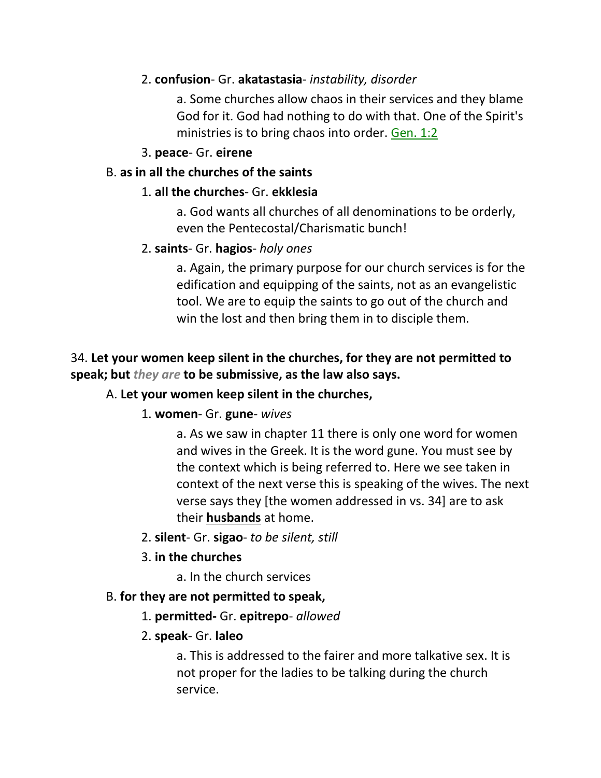### 2. **confusion**- Gr. **akatastasia**- *instability, disorder*

a. Some churches allow chaos in their services and they blame God for it. God had nothing to do with that. One of the Spirit's ministries is to bring chaos into order. Gen. 1:2

### 3. **peace**- Gr. **eirene**

### B. **as in all the churches of the saints**

### 1. **all the churches**- Gr. **ekklesia**

a. God wants all churches of all denominations to be orderly, even the Pentecostal/Charismatic bunch!

### 2. **saints**- Gr. **hagios**- *holy ones*

a. Again, the primary purpose for our church services is for the edification and equipping of the saints, not as an evangelistic tool. We are to equip the saints to go out of the church and win the lost and then bring them in to disciple them.

## 34. **Let your women keep silent in the churches, for they are not permitted to speak; but** *they are* **to be submissive, as the law also says.**

### A. **Let your women keep silent in the churches,**

### 1. **women**- Gr. **gune**- *wives*

a. As we saw in chapter 11 there is only one word for women and wives in the Greek. It is the word gune. You must see by the context which is being referred to. Here we see taken in context of the next verse this is speaking of the wives. The next verse says they [the women addressed in vs. 34] are to ask their **husbands** at home.

- 2. **silent** Gr. **sigao** *to be silent, still*
- 3. **in the churches**
	- a. In the church services

### B. **for they are not permitted to speak,**

### 1. **permitted-** Gr. **epitrepo**- *allowed*

### 2. **speak**- Gr. **laleo**

a. This is addressed to the fairer and more talkative sex. It is not proper for the ladies to be talking during the church service.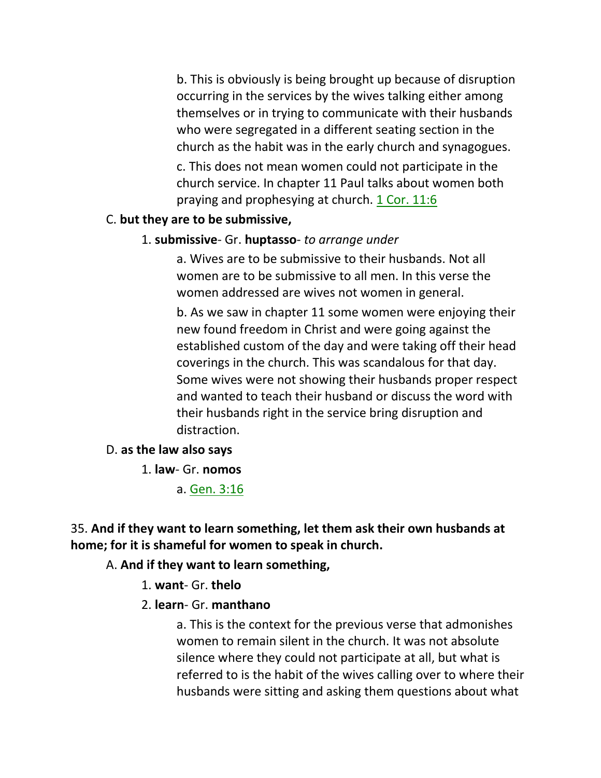b. This is obviously is being brought up because of disruption occurring in the services by the wives talking either among themselves or in trying to communicate with their husbands who were segregated in a different seating section in the church as the habit was in the early church and synagogues.

c. This does not mean women could not participate in the church service. In chapter 11 Paul talks about women both praying and prophesying at church. 1 Cor. 11:6

#### C. **but they are to be submissive,**

#### 1. **submissive**- Gr. **huptasso**- *to arrange under*

a. Wives are to be submissive to their husbands. Not all women are to be submissive to all men. In this verse the women addressed are wives not women in general.

b. As we saw in chapter 11 some women were enjoying their new found freedom in Christ and were going against the established custom of the day and were taking off their head coverings in the church. This was scandalous for that day. Some wives were not showing their husbands proper respect and wanted to teach their husband or discuss the word with their husbands right in the service bring disruption and distraction.

#### D. **as the law also says**

#### 1. **law**- Gr. **nomos**

a. Gen. 3:16

## 35. **And if they want to learn something, let them ask their own husbands at home; for it is shameful for women to speak in church.**

### A. **And if they want to learn something,**

- 1. **want** Gr. **thelo**
- 2. **learn** Gr. **manthano**

a. This is the context for the previous verse that admonishes women to remain silent in the church. It was not absolute silence where they could not participate at all, but what is referred to is the habit of the wives calling over to where their husbands were sitting and asking them questions about what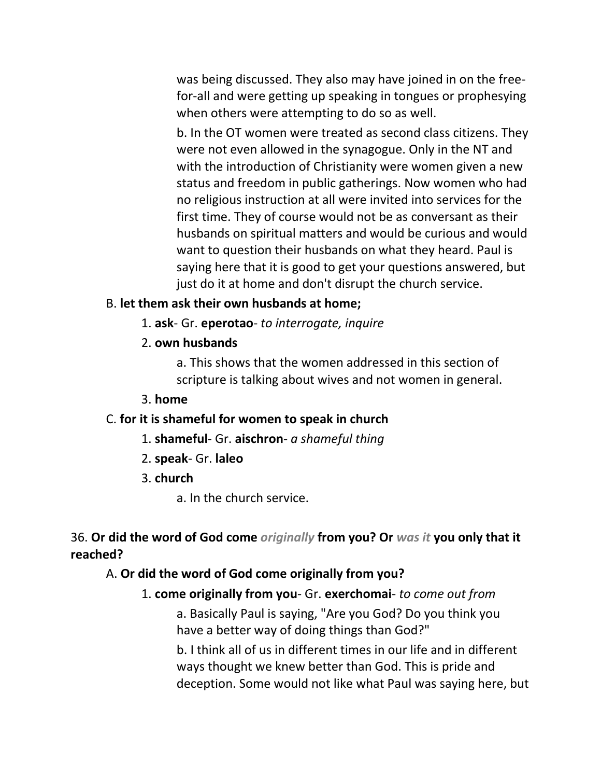was being discussed. They also may have joined in on the freefor-all and were getting up speaking in tongues or prophesying when others were attempting to do so as well.

b. In the OT women were treated as second class citizens. They were not even allowed in the synagogue. Only in the NT and with the introduction of Christianity were women given a new status and freedom in public gatherings. Now women who had no religious instruction at all were invited into services for the first time. They of course would not be as conversant as their husbands on spiritual matters and would be curious and would want to question their husbands on what they heard. Paul is saying here that it is good to get your questions answered, but just do it at home and don't disrupt the church service.

#### B. **let them ask their own husbands at home;**

- 1. **ask** Gr. **eperotao** *to interrogate, inquire*
- 2. **own husbands**

a. This shows that the women addressed in this section of scripture is talking about wives and not women in general.

#### 3. **home**

#### C. **for it is shameful for women to speak in church**

- 1. **shameful** Gr. **aischron** *a shameful thing*
- 2. **speak** Gr. **laleo**
- 3. **church**
	- a. In the church service.

36. **Or did the word of God come** *originally* **from you? Or** *was it* **you only that it reached?** 

#### A. **Or did the word of God come originally from you?**

#### 1. **come originally from you**- Gr. **exerchomai**- *to come out from*

a. Basically Paul is saying, "Are you God? Do you think you have a better way of doing things than God?"

b. I think all of us in different times in our life and in different ways thought we knew better than God. This is pride and deception. Some would not like what Paul was saying here, but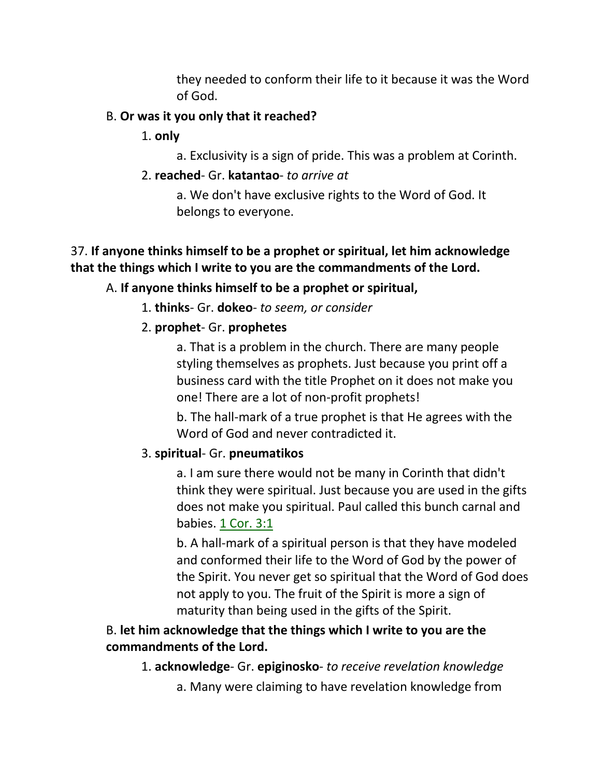they needed to conform their life to it because it was the Word of God.

### B. **Or was it you only that it reached?**

- 1. **only**
	- a. Exclusivity is a sign of pride. This was a problem at Corinth.

### 2. **reached**- Gr. **katantao**- *to arrive at*

a. We don't have exclusive rights to the Word of God. It belongs to everyone.

## 37. **If anyone thinks himself to be a prophet or spiritual, let him acknowledge that the things which I write to you are the commandments of the Lord.**

## A. **If anyone thinks himself to be a prophet or spiritual,**

## 1. **thinks**- Gr. **dokeo**- *to seem, or consider*

## 2. **prophet**- Gr. **prophetes**

a. That is a problem in the church. There are many people styling themselves as prophets. Just because you print off a business card with the title Prophet on it does not make you one! There are a lot of non-profit prophets!

b. The hall-mark of a true prophet is that He agrees with the Word of God and never contradicted it.

## 3. **spiritual**- Gr. **pneumatikos**

a. I am sure there would not be many in Corinth that didn't think they were spiritual. Just because you are used in the gifts does not make you spiritual. Paul called this bunch carnal and babies. 1 Cor. 3:1

b. A hall-mark of a spiritual person is that they have modeled and conformed their life to the Word of God by the power of the Spirit. You never get so spiritual that the Word of God does not apply to you. The fruit of the Spirit is more a sign of maturity than being used in the gifts of the Spirit.

# B. **let him acknowledge that the things which I write to you are the commandments of the Lord.**

- 1. **acknowledge** Gr. **epiginosko** *to receive revelation knowledge*
	- a. Many were claiming to have revelation knowledge from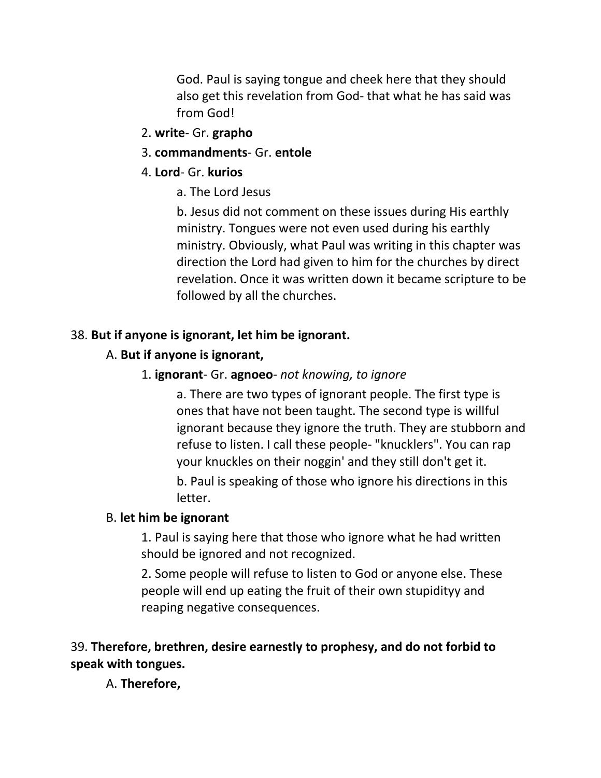God. Paul is saying tongue and cheek here that they should also get this revelation from God- that what he has said was from God!

- 2. **write** Gr. **grapho**
- 3. **commandments** Gr. **entole**
- 4. **Lord** Gr. **kurios**
	- a. The Lord Jesus

b. Jesus did not comment on these issues during His earthly ministry. Tongues were not even used during his earthly ministry. Obviously, what Paul was writing in this chapter was direction the Lord had given to him for the churches by direct revelation. Once it was written down it became scripture to be followed by all the churches.

#### 38. **But if anyone is ignorant, let him be ignorant.**

### A. **But if anyone is ignorant,**

### 1. **ignorant**- Gr. **agnoeo**- *not knowing, to ignore*

a. There are two types of ignorant people. The first type is ones that have not been taught. The second type is willful ignorant because they ignore the truth. They are stubborn and refuse to listen. I call these people- "knucklers". You can rap your knuckles on their noggin' and they still don't get it.

b. Paul is speaking of those who ignore his directions in this letter.

### B. **let him be ignorant**

1. Paul is saying here that those who ignore what he had written should be ignored and not recognized.

2. Some people will refuse to listen to God or anyone else. These people will end up eating the fruit of their own stupidityy and reaping negative consequences.

## 39. **Therefore, brethren, desire earnestly to prophesy, and do not forbid to speak with tongues.**

A. **Therefore,**